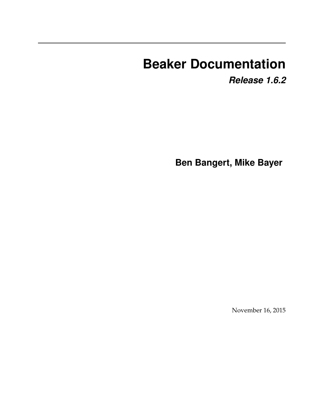# **Beaker Documentation**

*Release 1.6.2*

**Ben Bangert, Mike Bayer**

November 16, 2015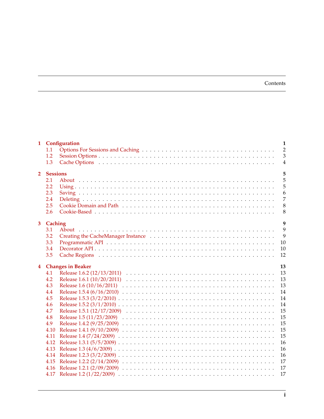### Contents

|                         |                 | 1 Configuration          | $\mathbf{1}$   |  |  |
|-------------------------|-----------------|--------------------------|----------------|--|--|
|                         | 1.1             |                          | $\overline{2}$ |  |  |
|                         | 1.2             |                          | $\overline{3}$ |  |  |
|                         | 1.3             |                          | $\overline{4}$ |  |  |
| 2 <sup>1</sup>          | <b>Sessions</b> |                          | 5              |  |  |
|                         | 2.1             |                          | 5              |  |  |
|                         | 2.2             |                          | 5              |  |  |
|                         | 2.3             |                          | 6              |  |  |
|                         | 2.4             |                          | $\overline{7}$ |  |  |
|                         | 2.5             |                          | 8              |  |  |
|                         | 2.6             |                          | 8              |  |  |
|                         |                 |                          |                |  |  |
|                         | 3 Caching       |                          | 9              |  |  |
|                         | 3.1             |                          | 9              |  |  |
|                         | 3.2             |                          | 9              |  |  |
|                         | 3.3             |                          | 10             |  |  |
|                         | 3.4             |                          | 10             |  |  |
|                         | 3.5             |                          | 12             |  |  |
|                         |                 |                          |                |  |  |
|                         |                 |                          |                |  |  |
| $\overline{\mathbf{4}}$ |                 | <b>Changes in Beaker</b> | 13             |  |  |
|                         | 4.1             |                          | 13             |  |  |
|                         | 4.2<br>4.3      |                          | 13<br>13       |  |  |
|                         | 4.4             |                          | 14             |  |  |
|                         | 4.5             |                          | 14             |  |  |
|                         | 4.6             |                          | 14             |  |  |
|                         | 4.7             |                          | 15             |  |  |
|                         | 4.8             |                          | 15             |  |  |
|                         | 4.9             |                          | 15             |  |  |
|                         | 4.10            |                          | 15             |  |  |
|                         | 4.11            |                          | 15             |  |  |
|                         | 4.12            |                          | 16             |  |  |
|                         | 4.13            |                          | 16             |  |  |
|                         |                 |                          | 16             |  |  |
|                         |                 |                          | 17             |  |  |
|                         |                 |                          | 17<br>17       |  |  |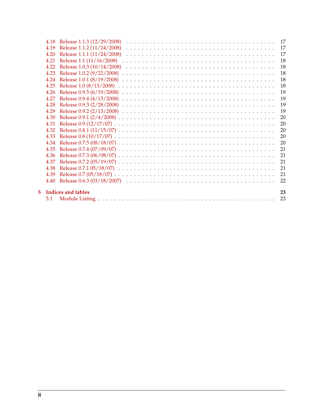|    | 5.1          |                            | 23       |
|----|--------------|----------------------------|----------|
| 5. |              | Indices and tables         | 23       |
|    | 4.40         |                            | 22       |
|    | 4.39         |                            | 21       |
|    | 4.38         |                            | 21       |
|    | 4.37         |                            | 21       |
|    | 4.36         |                            | 21       |
|    | 4.35         |                            | 21       |
|    | 4.34         |                            | 20       |
|    | 4.33         |                            | 20       |
|    | 4.32         |                            | 20       |
|    | 4.31         |                            | 20       |
|    | 4.30         |                            | 20       |
|    | 4.29         |                            | 19       |
|    | 4.28         |                            | 19       |
|    | 4.27         |                            | 19       |
|    | 4.26         |                            | 19       |
|    | 4.25         |                            | 18       |
|    | 4.23<br>4.24 |                            | 18<br>18 |
|    | 4.22         |                            | 18       |
|    | 4.21         |                            | 18       |
|    | 4.20         |                            | 17       |
|    | 4.19         | Release 1.1.2 (11/24/2008) | 17       |
|    | 4.18         | Release 1.1.3 (12/29/2008) |          |
|    |              |                            |          |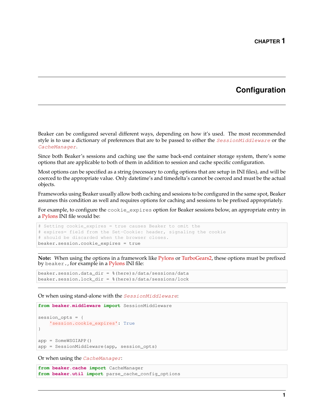### **Configuration**

<span id="page-4-0"></span>Beaker can be configured several different ways, depending on how it's used. The most recommended style is to use a dictionary of preferences that are to be passed to either the [SessionMiddleware](#page-34-0) or the [CacheManager](#page-29-0).

Since both Beaker's sessions and caching use the same back-end container storage system, there's some options that are applicable to both of them in addition to session and cache specific configuration.

Most options can be specified as a string (necessary to config options that are setup in INI files), and will be coerced to the appropriate value. Only datetime's and timedelta's cannot be coerced and must be the actual objects.

Frameworks using Beaker usually allow both caching and sessions to be configured in the same spot, Beaker assumes this condition as well and requires options for caching and sessions to be prefixed appropriately.

For example, to configure the cookie\_expires option for Beaker sessions below, an appropriate entry in a [Pylons](http://pylonshq.com/) INI file would be:

```
# Setting cookie_expires = true causes Beaker to omit the
# expires= field from the Set-Cookie: header, signaling the cookie
# should be discarded when the browser closes.
beaker.session.cookie_expires = true
```
**Note:** When using the options in a framework like [Pylons](http://pylonshq.com/) or [TurboGears2,](http://turbogears.org/2.0/) these options must be prefixed by beaker., for example in a [Pylons](http://pylonshq.com/) INI file:

beaker.session.data\_dir = %(here)s/data/sessions/data beaker.session.lock\_dir = %(here)s/data/sessions/lock

Or when using stand-alone with the [SessionMiddleware](#page-34-0):

```
from beaker.middleware import SessionMiddleware
session opts = \{'session.cookie_expires': True
}
app = SomeWSGIAPP()
app = SessionMiddleware(app, session_opts)
```
Or when using the [CacheManager](#page-29-0):

**from beaker.cache import** CacheManager **from beaker.util import** parse\_cache\_config\_options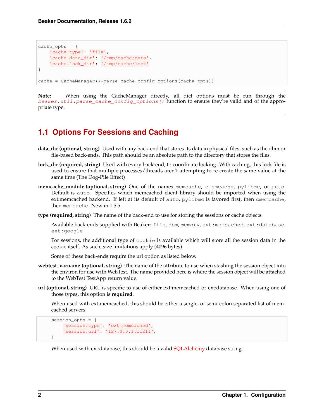```
cache opts = \{'cache.type': 'file',
    'cache.data_dir': '/tmp/cache/data',
    'cache.lock_dir': '/tmp/cache/lock'
}
cache = CacheManager(**parse_cache_config_options(cache_opts))
```
**Note:** When using the CacheManager directly, all dict options must be run through the [beaker.util.parse\\_cache\\_config\\_options\(\)](#page-37-0) function to ensure they're valid and of the appropriate type.

### <span id="page-5-0"></span>**1.1 Options For Sessions and Caching**

- **data\_dir (optional, string)** Used with any back-end that stores its data in physical files, such as the dbm or file-based back-ends. This path should be an absolute path to the directory that stores the files.
- **lock\_dir (required, string)** Used with every back-end, to coordinate locking. With caching, this lock file is used to ensure that multiple processes/threads aren't attempting to re-create the same value at the same time (The Dog-Pile Effect)
- **memcache\_module (optional, string)** One of the names memcache, cmemcache, pylibmc, or auto. Default is auto. Specifies which memcached client library should be imported when using the ext:memcached backend. If left at its default of auto, pylibmc is favored first, then cmemcache, then memcache. New in 1.5.5.

**type (required, string)** The name of the back-end to use for storing the sessions or cache objects.

Available back-ends supplied with Beaker: file, dbm, memory, ext:memcached, ext:database, ext:google

For sessions, the additional type of cookie is available which will store all the session data in the cookie itself. As such, size limitations apply (4096 bytes).

Some of these back-ends require the url option as listed below.

- **webtest\_varname (optional, string)** The name of the attribute to use when stashing the session object into the environ for use with WebTest. The name provided here is where the session object will be attached to the WebTest TestApp return value.
- **url (optional, string)** URL is specific to use of either ext:memcached or ext:database. When using one of those types, this option is **required**.

When used with ext:memcached, this should be either a single, or semi-colon separated list of memcached servers:

```
session_opts = {
    'session.type': 'ext:memcached',
    'session.url': '127.0.0.1:11211',
}
```
When used with ext:database, this should be a valid [SQLAlchemy](http://www.sqlalchemy.org/) database string.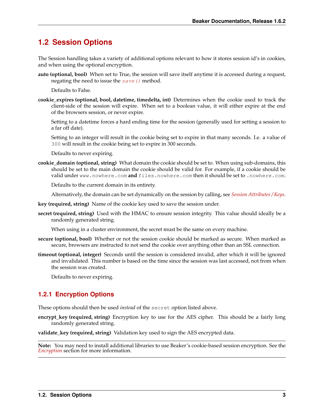### <span id="page-6-0"></span>**1.2 Session Options**

The Session handling takes a variety of additional options relevant to how it stores session id's in cookies, and when using the optional encryption.

**auto (optional, bool)** When set to True, the session will save itself anytime it is accessed during a request, negating the need to issue the  $save()$  method.

Defaults to False.

**cookie\_expires (optional, bool, datetime, timedelta, int)** Determines when the cookie used to track the client-side of the session will expire. When set to a boolean value, it will either expire at the end of the browsers session, or never expire.

Setting to a datetime forces a hard ending time for the session (generally used for setting a session to a far off date).

Setting to an integer will result in the cookie being set to expire in that many seconds. I.e. a value of 300 will result in the cookie being set to expire in 300 seconds.

Defaults to never expiring.

<span id="page-6-1"></span>**cookie\_domain (optional, string)** What domain the cookie should be set to. When using sub-domains, this should be set to the main domain the cookie should be valid for. For example, if a cookie should be valid under www.nowhere.com **and** files.nowhere.com then it should be set to .nowhere.com.

Defaults to the current domain in its entirety.

Alternatively, the domain can be set dynamically on the session by calling, see *[Session Attributes / Keys](#page-9-1)*.

- **key (required, string)** Name of the cookie key used to save the session under.
- **secret (required, string)** Used with the HMAC to ensure session integrity. This value should ideally be a randomly generated string.

When using in a cluster environment, the secret must be the same on every machine.

- **secure (optional, bool)** Whether or not the session cookie should be marked as secure. When marked as secure, browsers are instructed to not send the cookie over anything other than an SSL connection.
- **timeout (optional, integer)** Seconds until the session is considered invalid, after which it will be ignored and invalidated. This number is based on the time since the session was last accessed, not from when the session was created.

Defaults to never expiring.

### **1.2.1 Encryption Options**

These options should then be used *instead* of the secret option listed above.

**encrypt\_key (required, string)** Encryption key to use for the AES cipher. This should be a fairly long randomly generated string.

**validate\_key (required, string)** Validation key used to sign the AES encrypted data.

**Note:** You may need to install additional libraries to use Beaker's cookie-based session encryption. See the *[Encryption](#page-11-2)* section for more information.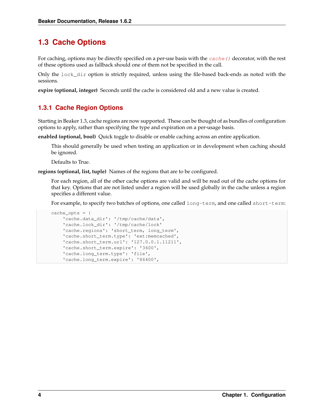## <span id="page-7-0"></span>**1.3 Cache Options**

For caching, options may be directly specified on a per-use basis with the cache () decorator, with the rest of these options used as fallback should one of them not be specified in the call.

Only the lock\_dir option is strictly required, unless using the file-based back-ends as noted with the sessions.

**expire (optional, integer)** Seconds until the cache is considered old and a new value is created.

### **1.3.1 Cache Region Options**

<span id="page-7-1"></span>Starting in Beaker 1.3, cache regions are now supported. These can be thought of as bundles of configuration options to apply, rather than specifying the type and expiration on a per-usage basis.

**enabled (optional, bool)** Quick toggle to disable or enable caching across an entire application.

This should generally be used when testing an application or in development when caching should be ignored.

Defaults to True.

**regions (optional, list, tuple)** Names of the regions that are to be configured.

For each region, all of the other cache options are valid and will be read out of the cache options for that key. Options that are not listed under a region will be used globally in the cache unless a region specifies a different value.

For example, to specify two batches of options, one called long-term, and one called short-term:

```
cache_opts = {
    'cache.data_dir': '/tmp/cache/data',
    'cache.lock_dir': '/tmp/cache/lock'
    'cache.regions': 'short_term, long_term',
    'cache.short_term.type': 'ext:memcached',
    'cache.short_term.url': '127.0.0.1.11211',
    'cache.short_term.expire': '3600',
    'cache.long_term.type': 'file',
    'cache.long_term.expire': '86400',
```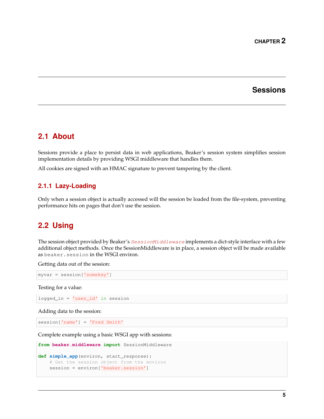### **Sessions**

### <span id="page-8-1"></span><span id="page-8-0"></span>**2.1 About**

Sessions provide a place to persist data in web applications, Beaker's session system simplifies session implementation details by providing WSGI middleware that handles them.

All cookies are signed with an HMAC signature to prevent tampering by the client.

### **2.1.1 Lazy-Loading**

Only when a session object is actually accessed will the session be loaded from the file-system, preventing performance hits on pages that don't use the session.

### <span id="page-8-2"></span>**2.2 Using**

The session object provided by Beaker's [SessionMiddleware](#page-34-0) implements a dict-style interface with a few additional object methods. Once the SessionMiddleware is in place, a session object will be made available as beaker.session in the WSGI environ.

Getting data out of the session:

```
myvar = session['somekey']
```
Testing for a value:

logged\_in = 'user\_id' in session

Adding data to the session:

session['name'] = 'Fred Smith'

Complete example using a basic WSGI app with sessions:

```
from beaker.middleware import SessionMiddleware
def simple_app(environ, start_response):
    # Get the session object from the environ
   session = environ['beaker.session']
```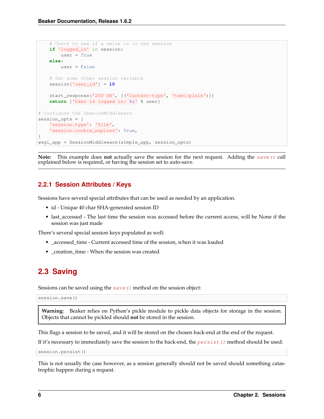```
# Check to see if a value is in the session
   if 'logged_in' in session:
       user = True
   else:
       user = False
    # Set some other session variable
   session['user_id'] = 10
   start_response('200 OK', [('Content-type', 'text/plain')])
   return ['User is logged in: %s' % user]
# Configure the SessionMiddleware
session opts = \{'session.type': 'file',
    'session.cookie_expires': True,
}
wsgi_app = SessionMiddleware(simple_app, session_opts)
```
**Note:** This example does **not** actually save the session for the next request. Adding the save () call explained below is required, or having the session set to auto-save.

### <span id="page-9-1"></span>**2.2.1 Session Attributes / Keys**

Sessions have several special attributes that can be used as needed by an application.

- id Unique 40 char SHA-generated session ID
- last\_accessed The last time the session was accessed before the current access, will be None if the session was just made

There's several special session keys populated as well:

- \_accessed\_time Current accessed time of the session, when it was loaded
- \_creation\_time When the session was created

## <span id="page-9-0"></span>**2.3 Saving**

Sessions can be saved using the  $save()$  method on the session object:

session.save()

**Warning:** Beaker relies on Python's pickle module to pickle data objects for storage in the session. Objects that cannot be pickled should **not** be stored in the session.

This flags a session to be saved, and it will be stored on the chosen back-end at the end of the request.

If it's necessary to immediately save the session to the back-end, the  $persist()$  method should be used:

session.persist()

This is not usually the case however, as a session generally should not be saved should something catastrophic happen during a request.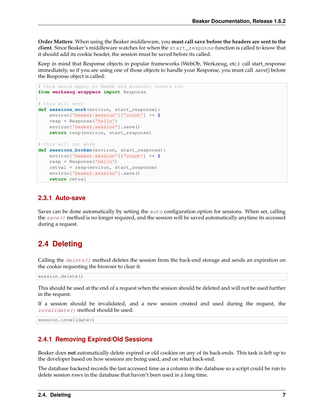**Order Matters**: When using the Beaker middleware, you **must call save before the headers are sent to the client**. Since Beaker's middleware watches for when the start\_response function is called to know that it should add its cookie header, the session must be saved before its called.

Keep in mind that Response objects in popular frameworks (WebOb, Werkzeug, etc.) call start\_response immediately, so if you are using one of those objects to handle your Response, you must call .save() before the Response object is called:

```
# this would apply to WebOb and possibly others too
from werkzeug.wrappers import Response
# this will work
def sessions_work(environ, start_response):
   environ['beaker.session']['count'] += 1
   resp = Response('hello')
   environ['beaker.session'].save()
   return resp(environ, start_response)
# this will not work
def sessions_broken(environ, start_response):
   environ['beaker.session']['count'] += 1
   resp = Response('hello')
   retval = resp(environ, start_response)
   environ['beaker.session'].save()
   return retval
```
### **2.3.1 Auto-save**

Saves can be done automatically by setting the auto configuration option for sessions. When set, calling the save () method is no longer required, and the session will be saved automatically anytime its accessed during a request.

## <span id="page-10-0"></span>**2.4 Deleting**

Calling the  $delete()$  method deletes the session from the back-end storage and sends an expiration on the cookie requesting the browser to clear it:

session.delete()

This should be used at the end of a request when the session should be deleted and will not be used further in the request.

If a session should be invalidated, and a new session created and used during the request, the [invalidate\(\)](#page-35-2) method should be used:

session.invalidate()

### **2.4.1 Removing Expired/Old Sessions**

Beaker does **not** automatically delete expired or old cookies on any of its back-ends. This task is left up to the developer based on how sessions are being used, and on what back-end.

The database backend records the last accessed time as a column in the database so a script could be run to delete session rows in the database that haven't been used in a long time.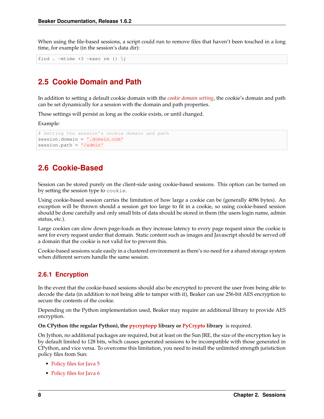When using the file-based sessions, a script could run to remove files that haven't been touched in a long time, for example (in the session's data dir):

find . -mtime +3 -exec rm  $\{\} \setminus;$ 

### <span id="page-11-0"></span>**2.5 Cookie Domain and Path**

In addition to setting a default cookie domain with the *[cookie domain setting](#page-6-1)*, the cookie's domain and path can be set dynamically for a session with the domain and path properties.

These settings will persist as long as the cookie exists, or until changed.

Example:

```
# Setting the session's cookie domain and path
session.domain = '.domain.com'
session.path = '/admin'
```
### <span id="page-11-1"></span>**2.6 Cookie-Based**

Session can be stored purely on the client-side using cookie-based sessions. This option can be turned on by setting the session type to cookie.

Using cookie-based session carries the limitation of how large a cookie can be (generally 4096 bytes). An exception will be thrown should a session get too large to fit in a cookie, so using cookie-based session should be done carefully and only small bits of data should be stored in them (the users login name, admin status, etc.).

Large cookies can slow down page-loads as they increase latency to every page request since the cookie is sent for every request under that domain. Static content such as images and Javascript should be served off a domain that the cookie is not valid for to prevent this.

Cookie-based sessions scale easily in a clustered environment as there's no need for a shared storage system when different servers handle the same session.

### <span id="page-11-2"></span>**2.6.1 Encryption**

In the event that the cookie-based sessions should also be encrypted to prevent the user from being able to decode the data (in addition to not being able to tamper with it), Beaker can use 256-bit AES encryption to secure the contents of the cookie.

Depending on the Python implementation used, Beaker may require an additional library to provide AES encryption.

**On CPython (the regular Python), the [pycryptopp](http://pypi.python.org/pypi/pycryptopp) library or [PyCrypto](http://pypi.python.org/pypi/pycrypto/2.0.1) library** is required.

On Jython, no additional packages are required, but at least on the Sun JRE, the size of the encryption key is by default limited to 128 bits, which causes generated sessions to be incompatible with those generated in CPython, and vice versa. To overcome this limitation, you need to install the unlimited strength juristiction policy files from Sun:

- [Policy files for Java 5](https://cds.sun.com/is-bin/INTERSHOP.enfinity/WFS/CDS-CDS_Developer-Site/en_US/-/USD/ViewProductDetail-Start?ProductRef=jce_policy-1.5.0-oth-JPR@CDS-CDS_Developer)
- [Policy files for Java 6](https://cds.sun.com/is-bin/INTERSHOP.enfinity/WFS/CDS-CDS_Developer-Site/en_US/-/USD/ViewProductDetail-Start?ProductRef=jce_policy-6-oth-JPR@CDS-CDS_Developer)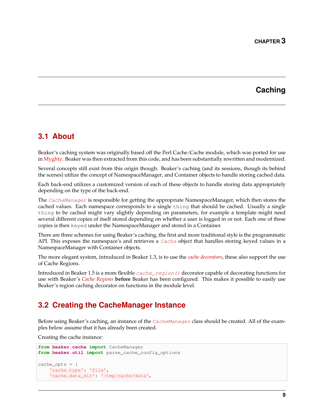### **Caching**

### <span id="page-12-1"></span><span id="page-12-0"></span>**3.1 About**

Beaker's caching system was originally based off the Perl Cache::Cache module, which was ported for use in [Myghty.](http://www.myghty.org/) Beaker was then extracted from this code, and has been substantially rewritten and modernized.

Several concepts still exist from this origin though. Beaker's caching (and its sessions, though its behind the scenes) utilize the concept of NamespaceManager, and Container objects to handle storing cached data.

Each back-end utilizes a customized version of each of these objects to handle storing data appropriately depending on the type of the back-end.

The [CacheManager](#page-29-0) is responsible for getting the appropriate NamespaceManager, which then stores the cached values. Each namespace corresponds to a single thing that should be cached. Usually a single thing to be cached might vary slightly depending on parameters, for example a template might need several different copies of itself stored depending on whether a user is logged in or not. Each one of these copies is then keyed under the NamespaceManager and stored in a Container.

There are three schemes for using Beaker's caching, the first and more traditional style is the programmatic API. This exposes the namespace's and retrieves a *[Cache](#page-28-0)* object that handles storing keyed values in a NamespaceManager with Container objects.

The more elegant system, introduced in Beaker 1.3, is to use the *[cache decorators](#page-13-2)*, these also support the use of Cache Regions.

Introduced in Beaker 1.5 is a more flexible [cache\\_region\(\)](#page-26-2) decorator capable of decorating functions for use with Beaker's *[Cache Regions](#page-15-0)* **before** Beaker has been configured. This makes it possible to easily use Beaker's region caching decorator on functions in the module level.

## <span id="page-12-2"></span>**3.2 Creating the CacheManager Instance**

Before using Beaker's caching, an instance of the [CacheManager](#page-29-0) class should be created. All of the examples below assume that it has already been created.

Creating the cache instance:

```
from beaker.cache import CacheManager
from beaker.util import parse_cache_config_options
cache_opts = {
    'cache.type': 'file',
    'cache.data_dir': '/tmp/cache/data',
```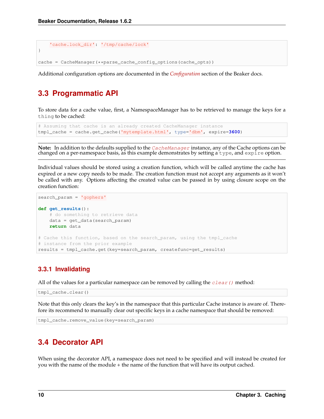```
'cache.lock_dir': '/tmp/cache/lock'
}
cache = CacheManager(**parse_cache_config_options(cache_opts))
```
Additional configuration options are documented in the *[Configuration](#page-4-0)* section of the Beaker docs.

## <span id="page-13-0"></span>**3.3 Programmatic API**

<span id="page-13-3"></span>To store data for a cache value, first, a NamespaceManager has to be retrieved to manage the keys for a thing to be cached:

```
# Assuming that cache is an already created CacheManager instance
tmpl_cache = cache.get_cache('mytemplate.html', type='dbm', expire=3600)
```
**Note:** In addition to the defaults supplied to the [CacheManager](#page-29-0) instance, any of the Cache options can be changed on a per-namespace basis, as this example demonstrates by setting a type, and expire option.

Individual values should be stored using a creation function, which will be called anytime the cache has expired or a new copy needs to be made. The creation function must not accept any arguments as it won't be called with any. Options affecting the created value can be passed in by using closure scope on the creation function:

```
search_param = 'gophers'
def get_results():
    # do something to retrieve data
   data = get_data(search_param)
   return data
# Cache this function, based on the search_param, using the tmpl_cache
# instance from the prior example
results = tmpl_cache.get(key=search_param, createfunc=get_results)
```
### **3.3.1 Invalidating**

All of the values for a particular namespace can be removed by calling the  $clear()$  method:

tmpl\_cache.clear()

Note that this only clears the key's in the namespace that this particular Cache instance is aware of. Therefore its recommend to manually clear out specific keys in a cache namespace that should be removed:

```
tmpl_cache.remove_value(key=search_param)
```
## <span id="page-13-1"></span>**3.4 Decorator API**

<span id="page-13-2"></span>When using the decorator API, a namespace does not need to be specified and will instead be created for you with the name of the module + the name of the function that will have its output cached.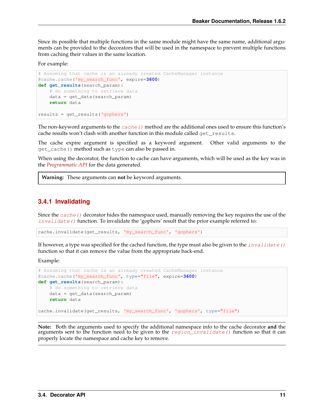Since its possible that multiple functions in the same module might have the same name, additional arguments can be provided to the decorators that will be used in the namespace to prevent multiple functions from caching their values in the same location.

For example:

```
# Assuming that cache is an already created CacheManager instance
@cache.cache('my_search_func', expire=3600)
def get_results(search_param):
   # do something to retrieve data
   data = get_data(search_param)
   return data
results = get_results('gophers')
```
The non-keyword arguments to the  $cache()$  method are the additional ones used to ensure this function's cache results won't clash with another function in this module called get\_results.

The cache expire argument is specified as a keyword argument. Other valid arguments to the get\_cache() method such as type can also be passed in.

When using the decorator, the function to cache can have arguments, which will be used as the key was in the *[Programmatic API](#page-13-3)* for the data generated.

**Warning:** These arguments can **not** be keyword arguments.

### **3.4.1 Invalidating**

Since the *cache* () decorator hides the namespace used, manually removing the key requires the use of the  $invalidate$  () function. To invalidate the 'gophers' result that the prior example referred to:

cache.invalidate(get\_results, 'my\_search\_func', 'gophers')

If however, a type was specified for the cached function, the type must also be given to the invalidate () function so that it can remove the value from the appropriate back-end.

Example:

```
# Assuming that cache is an already created CacheManager instance
@cache.cache('my_search_func', type="file", expire=3600)
def get_results(search_param):
    # do something to retrieve data
   data = get_data(search_param)
   return data
cache.invalidate(get_results, 'my_search_func', 'gophers', type="file")
```
**Note:** Both the arguments used to specify the additional namespace info to the cache decorator **and** the arguments sent to the function need to be given to the  $region\_invaliate()$  function so that it can properly locate the namespace and cache key to remove.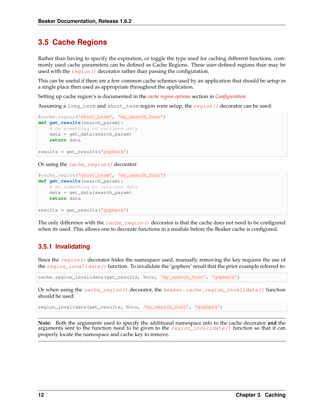### <span id="page-15-0"></span>**3.5 Cache Regions**

Rather than having to specify the expiration, or toggle the type used for caching different functions, commonly used cache parameters can be defined as Cache Regions. These user-defined regions than may be used with the region () decorator rather than passing the configuration.

This can be useful if there are a few common cache schemes used by an application that should be setup in a single place then used as appropriate throughout the application.

Setting up cache region's is documented in the *[cache region options](#page-7-1)* section in *[Configuration](#page-4-0)*.

Assuming a long\_term and short\_term region were setup, the [region\(\)](#page-30-1) decorator can be used:

```
@cache.region('short_term', 'my_search_func')
def get_results(search_param):
    # do something to retrieve data
   data = get_data(search_param)
   return data
results = get_results('gophers')
```
Or using the [cache\\_region\(\)](#page-26-2) decorator:

```
@cache_region('short_term', 'my_search_func')
def get_results(search_param):
    # do something to retrieve data
    data = get_data(search_param)
   return data
results = get_results('gophers')
```
The only difference with the  $cache\_region$  () decorator is that the cache does not need to be configured when its used. This allows one to decorate functions in a module before the Beaker cache is configured.

### **3.5.1 Invalidating**

Since the  $region()$  decorator hides the namespace used, manually removing the key requires the use of the  $region\_invalidate$  () function. To invalidate the 'gophers' result that the prior example referred to:

cache.region\_invalidate(get\_results, None, 'my\_search\_func', 'gophers')

Or when using the [cache\\_region\(\)](#page-26-2) decorator, the [beaker.cache.region\\_invalidate\(\)](#page-27-0) function should be used:

region\_invalidate(get\_results, None, 'my\_search\_func', 'gophers')

**Note:** Both the arguments used to specify the additional namespace info to the cache decorator **and** the arguments sent to the function need to be given to the  $region\_invalidate()$  function so that it can properly locate the namespace and cache key to remove.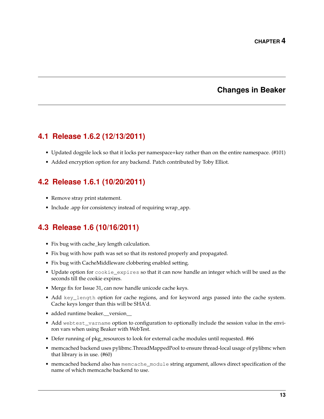### **Changes in Beaker**

## <span id="page-16-1"></span><span id="page-16-0"></span>**4.1 Release 1.6.2 (12/13/2011)**

- Updated dogpile lock so that it locks per namespace+key rather than on the entire namespace. (#101)
- Added encryption option for any backend. Patch contributed by Toby Elliot.

### <span id="page-16-2"></span>**4.2 Release 1.6.1 (10/20/2011)**

- Remove stray print statement.
- Include .app for consistency instead of requiring wrap\_app.

## <span id="page-16-3"></span>**4.3 Release 1.6 (10/16/2011)**

- Fix bug with cache\_key length calculation.
- Fix bug with how path was set so that its restored properly and propagated.
- Fix bug with CacheMiddleware clobbering enabled setting.
- Update option for cookie\_expires so that it can now handle an integer which will be used as the seconds till the cookie expires.
- Merge fix for Issue 31, can now handle unicode cache keys.
- Add key\_length option for cache regions, and for keyword args passed into the cache system. Cache keys longer than this will be SHA'd.
- added runtime beaker.\_\_version\_\_
- Add webtest\_varname option to configuration to optionally include the session value in the environ vars when using Beaker with WebTest.
- Defer running of pkg\_resources to look for external cache modules until requested. #66
- memcached backend uses pylibmc.ThreadMappedPool to ensure thread-local usage of pylibmc when that library is in use. (#60)
- memcached backend also has memcache\_module string argument, allows direct specification of the name of which memcache backend to use.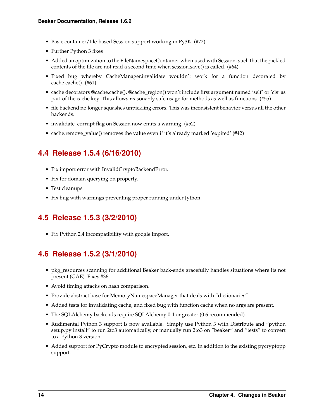- Basic container/file-based Session support working in Py3K. (#72)
- Further Python 3 fixes
- Added an optimization to the FileNamespaceContainer when used with Session, such that the pickled contents of the file are not read a second time when session.save() is called. (#64)
- Fixed bug whereby CacheManager.invalidate wouldn't work for a function decorated by cache.cache(). (#61)
- cache decorators @cache.cache(), @cache\_region() won't include first argument named 'self' or 'cls' as part of the cache key. This allows reasonably safe usage for methods as well as functions. (#55)
- file backend no longer squashes unpickling errors. This was inconsistent behavior versus all the other backends.
- invalidate\_corrupt flag on Session now emits a warning. (#52)
- cache.remove\_value() removes the value even if it's already marked 'expired' (#42)

### <span id="page-17-0"></span>**4.4 Release 1.5.4 (6/16/2010)**

- Fix import error with InvalidCryptoBackendError.
- Fix for domain querying on property.
- Test cleanups
- Fix bug with warnings preventing proper running under Jython.

### <span id="page-17-1"></span>**4.5 Release 1.5.3 (3/2/2010)**

• Fix Python 2.4 incompatibility with google import.

### <span id="page-17-2"></span>**4.6 Release 1.5.2 (3/1/2010)**

- pkg\_resources scanning for additional Beaker back-ends gracefully handles situations where its not present (GAE). Fixes #36.
- Avoid timing attacks on hash comparison.
- Provide abstract base for MemoryNamespaceManager that deals with "dictionaries".
- Added tests for invalidating cache, and fixed bug with function cache when no args are present.
- The SQLAlchemy backends require SQLAlchemy 0.4 or greater (0.6 recommended).
- Rudimental Python 3 support is now available. Simply use Python 3 with Distribute and "python setup.py install" to run 2to3 automatically, or manually run 2to3 on "beaker" and "tests" to convert to a Python 3 version.
- Added support for PyCrypto module to encrypted session, etc. in addition to the existing pycryptopp support.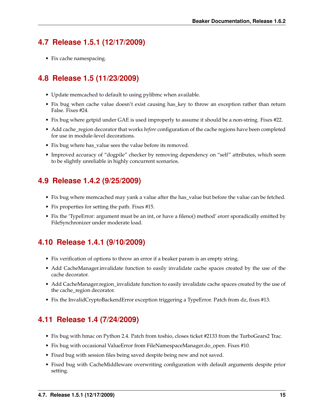## <span id="page-18-0"></span>**4.7 Release 1.5.1 (12/17/2009)**

• Fix cache namespacing.

## <span id="page-18-1"></span>**4.8 Release 1.5 (11/23/2009)**

- Update memcached to default to using pylibmc when available.
- Fix bug when cache value doesn't exist causing has\_key to throw an exception rather than return False. Fixes #24.
- Fix bug where getpid under GAE is used improperly to assume it should be a non-string. Fixes #22.
- Add cache\_region decorator that works *before* configuration of the cache regions have been completed for use in module-level decorations.
- Fix bug where has\_value sees the value before its removed.
- Improved accuracy of "dogpile" checker by removing dependency on "self" attributes, which seem to be slightly unreliable in highly concurrent scenarios.

## <span id="page-18-2"></span>**4.9 Release 1.4.2 (9/25/2009)**

- Fix bug where memcached may yank a value after the has\_value but before the value can be fetched.
- Fix properties for setting the path. Fixes #15.
- Fix the 'TypeError: argument must be an int, or have a fileno() method' erorr sporadically emitted by FileSynchronizer under moderate load.

## <span id="page-18-3"></span>**4.10 Release 1.4.1 (9/10/2009)**

- Fix verification of options to throw an error if a beaker param is an empty string.
- Add CacheManager.invalidate function to easily invalidate cache spaces created by the use of the cache decorator.
- Add CacheManager.region\_invalidate function to easily invalidate cache spaces created by the use of the cache\_region decorator.
- Fix the InvalidCryptoBackendError exception triggering a TypeError. Patch from dz, fixes #13.

## <span id="page-18-4"></span>**4.11 Release 1.4 (7/24/2009)**

- Fix bug with hmac on Python 2.4. Patch from toshio, closes ticket #2133 from the TurboGears2 Trac.
- Fix bug with occasional ValueError from FileNamespaceManager.do\_open. Fixes #10.
- Fixed bug with session files being saved despite being new and not saved.
- Fixed bug with CacheMiddleware overwriting configuration with default arguments despite prior setting.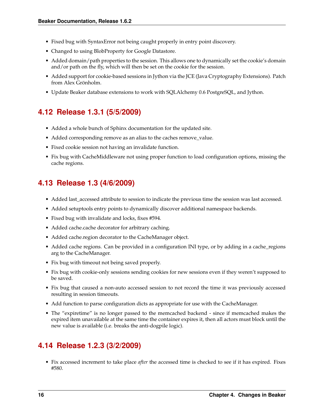- Fixed bug with SyntaxError not being caught properly in entry point discovery.
- Changed to using BlobProperty for Google Datastore.
- Added domain/path properties to the session. This allows one to dynamically set the cookie's domain and/or path on the fly, which will then be set on the cookie for the session.
- Added support for cookie-based sessions in Jython via the JCE (Java Cryptography Extensions). Patch from Alex Grönholm.
- Update Beaker database extensions to work with SQLAlchemy 0.6 PostgreSQL, and Jython.

## <span id="page-19-0"></span>**4.12 Release 1.3.1 (5/5/2009)**

- Added a whole bunch of Sphinx documentation for the updated site.
- Added corresponding remove as an alias to the caches remove\_value.
- Fixed cookie session not having an invalidate function.
- Fix bug with CacheMiddleware not using proper function to load configuration options, missing the cache regions.

## <span id="page-19-1"></span>**4.13 Release 1.3 (4/6/2009)**

- Added last\_accessed attribute to session to indicate the previous time the session was last accessed.
- Added setuptools entry points to dynamically discover additional namespace backends.
- Fixed bug with invalidate and locks, fixes #594.
- Added cache.cache decorator for arbitrary caching.
- Added cache.region decorator to the CacheManager object.
- Added cache regions. Can be provided in a configuration INI type, or by adding in a cache\_regions arg to the CacheManager.
- Fix bug with timeout not being saved properly.
- Fix bug with cookie-only sessions sending cookies for new sessions even if they weren't supposed to be saved.
- Fix bug that caused a non-auto accessed session to not record the time it was previously accessed resulting in session timeouts.
- Add function to parse configuration dicts as appropriate for use with the CacheManager.
- The "expiretime" is no longer passed to the memcached backend since if memcached makes the expired item unavailable at the same time the container expires it, then all actors must block until the new value is available (i.e. breaks the anti-dogpile logic).

## <span id="page-19-2"></span>**4.14 Release 1.2.3 (3/2/2009)**

• Fix accessed increment to take place *after* the accessed time is checked to see if it has expired. Fixes #580.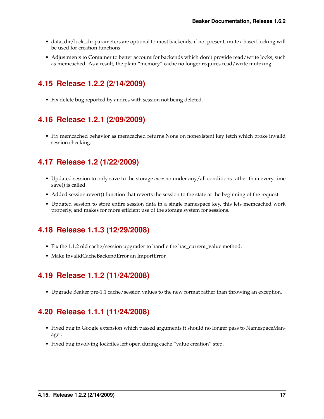- data\_dir/lock\_dir parameters are optional to most backends; if not present, mutex-based locking will be used for creation functions
- Adjustments to Container to better account for backends which don't provide read/write locks, such as memcached. As a result, the plain "memory" cache no longer requires read/write mutexing.

## <span id="page-20-0"></span>**4.15 Release 1.2.2 (2/14/2009)**

• Fix delete bug reported by andres with session not being deleted.

## <span id="page-20-1"></span>**4.16 Release 1.2.1 (2/09/2009)**

• Fix memcached behavior as memcached returns None on nonexistent key fetch which broke invalid session checking.

## <span id="page-20-2"></span>**4.17 Release 1.2 (1/22/2009)**

- Updated session to only save to the storage *once* no under any/all conditions rather than every time save() is called.
- Added session.revert() function that reverts the session to the state at the beginning of the request.
- Updated session to store entire session data in a single namespace key, this lets memcached work properly, and makes for more efficient use of the storage system for sessions.

## <span id="page-20-3"></span>**4.18 Release 1.1.3 (12/29/2008)**

- Fix the 1.1.2 old cache/session upgrader to handle the has\_current\_value method.
- Make InvalidCacheBackendError an ImportError.

## <span id="page-20-4"></span>**4.19 Release 1.1.2 (11/24/2008)**

• Upgrade Beaker pre-1.1 cache/session values to the new format rather than throwing an exception.

## <span id="page-20-5"></span>**4.20 Release 1.1.1 (11/24/2008)**

- Fixed bug in Google extension which passed arguments it should no longer pass to NamespaceManager.
- Fixed bug involving lockfiles left open during cache "value creation" step.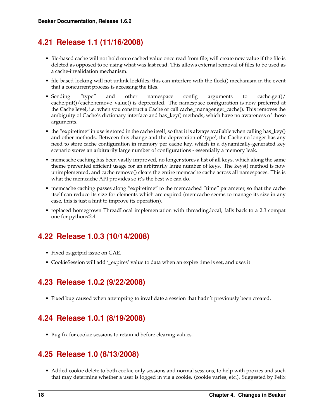### <span id="page-21-0"></span>**4.21 Release 1.1 (11/16/2008)**

- file-based cache will not hold onto cached value once read from file; will create new value if the file is deleted as opposed to re-using what was last read. This allows external removal of files to be used as a cache-invalidation mechanism.
- file-based locking will not unlink lockfiles; this can interfere with the flock() mechanism in the event that a concurrent process is accessing the files.
- Sending "type" and other namespace config arguments to cache.get()/ cache.put()/cache.remove\_value() is deprecated. The namespace configuration is now preferred at the Cache level, i.e. when you construct a Cache or call cache\_manager.get\_cache(). This removes the ambiguity of Cache's dictionary interface and has\_key() methods, which have no awareness of those arguments.
- the "expiretime" in use is stored in the cache itself, so that it is always available when calling has\_key() and other methods. Between this change and the deprecation of 'type', the Cache no longer has any need to store cache configuration in memory per cache key, which in a dynamically-generated key scenario stores an arbitrarily large number of configurations - essentially a memory leak.
- memcache caching has been vastly improved, no longer stores a list of all keys, which along the same theme prevented efficient usage for an arbitrarily large number of keys. The keys() method is now unimplemented, and cache.remove() clears the entire memcache cache across all namespaces. This is what the memcache API provides so it's the best we can do.
- memcache caching passes along "expiretime" to the memcached "time" parameter, so that the cache itself can reduce its size for elements which are expired (memcache seems to manage its size in any case, this is just a hint to improve its operation).
- replaced homegrown ThreadLocal implementation with threading.local, falls back to a 2.3 compat one for python<2.4

## <span id="page-21-1"></span>**4.22 Release 1.0.3 (10/14/2008)**

- Fixed os.getpid issue on GAE.
- CookieSession will add '\_expires' value to data when an expire time is set, and uses it

## <span id="page-21-2"></span>**4.23 Release 1.0.2 (9/22/2008)**

• Fixed bug caused when attempting to invalidate a session that hadn't previously been created.

## <span id="page-21-3"></span>**4.24 Release 1.0.1 (8/19/2008)**

• Bug fix for cookie sessions to retain id before clearing values.

### <span id="page-21-4"></span>**4.25 Release 1.0 (8/13/2008)**

• Added cookie delete to both cookie only sessions and normal sessions, to help with proxies and such that may determine whether a user is logged in via a cookie. (cookie varies, etc.). Suggested by Felix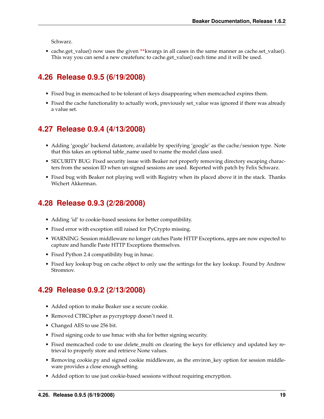Schwarz.

• cache.get\_value() now uses the given **\*\***kwargs in all cases in the same manner as cache.set\_value(). This way you can send a new createfunc to cache.get\_value() each time and it will be used.

## <span id="page-22-0"></span>**4.26 Release 0.9.5 (6/19/2008)**

- Fixed bug in memcached to be tolerant of keys disappearing when memcached expires them.
- Fixed the cache functionality to actually work, previously set\_value was ignored if there was already a value set.

## <span id="page-22-1"></span>**4.27 Release 0.9.4 (4/13/2008)**

- Adding 'google' backend datastore, available by specifying 'google' as the cache/session type. Note that this takes an optional table\_name used to name the model class used.
- SECURITY BUG: Fixed security issue with Beaker not properly removing directory escaping characters from the session ID when un-signed sessions are used. Reported with patch by Felix Schwarz.
- Fixed bug with Beaker not playing well with Registry when its placed above it in the stack. Thanks Wichert Akkerman.

## <span id="page-22-2"></span>**4.28 Release 0.9.3 (2/28/2008)**

- Adding 'id' to cookie-based sessions for better compatibility.
- Fixed error with exception still raised for PyCrypto missing.
- WARNING: Session middleware no longer catches Paste HTTP Exceptions, apps are now expected to capture and handle Paste HTTP Exceptions themselves.
- Fixed Python 2.4 compatibility bug in hmac.
- Fixed key lookup bug on cache object to only use the settings for the key lookup. Found by Andrew Stromnov.

## <span id="page-22-3"></span>**4.29 Release 0.9.2 (2/13/2008)**

- Added option to make Beaker use a secure cookie.
- Removed CTRCipher as pycryptopp doesn't need it.
- Changed AES to use 256 bit.
- Fixed signing code to use hmac with sha for better signing security.
- Fixed memcached code to use delete\_multi on clearing the keys for efficiency and updated key retrieval to properly store and retrieve None values.
- Removing cookie.py and signed cookie middleware, as the environ\_key option for session middleware provides a close enough setting.
- Added option to use just cookie-based sessions without requiring encryption.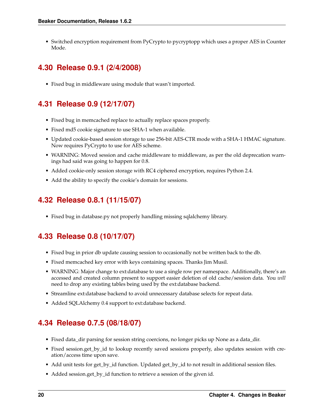• Switched encryption requirement from PyCrypto to pycryptopp which uses a proper AES in Counter Mode.

## <span id="page-23-0"></span>**4.30 Release 0.9.1 (2/4/2008)**

• Fixed bug in middleware using module that wasn't imported.

## <span id="page-23-1"></span>**4.31 Release 0.9 (12/17/07)**

- Fixed bug in memcached replace to actually replace spaces properly.
- Fixed md5 cookie signature to use SHA-1 when available.
- Updated cookie-based session storage to use 256-bit AES-CTR mode with a SHA-1 HMAC signature. Now requires PyCrypto to use for AES scheme.
- WARNING: Moved session and cache middleware to middleware, as per the old deprecation warnings had said was going to happen for 0.8.
- Added cookie-only session storage with RC4 ciphered encryption, requires Python 2.4.
- Add the ability to specify the cookie's domain for sessions.

## <span id="page-23-2"></span>**4.32 Release 0.8.1 (11/15/07)**

• Fixed bug in database.py not properly handling missing sqlalchemy library.

## <span id="page-23-3"></span>**4.33 Release 0.8 (10/17/07)**

- Fixed bug in prior db update causing session to occasionally not be written back to the db.
- Fixed memcached key error with keys containing spaces. Thanks Jim Musil.
- WARNING: Major change to ext:database to use a single row per namespace. Additionally, there's an accessed and created column present to support easier deletion of old cache/session data. You *will* need to drop any existing tables being used by the ext:database backend.
- Streamline ext:database backend to avoid unnecessary database selects for repeat data.
- Added SQLAlchemy 0.4 support to ext:database backend.

## <span id="page-23-4"></span>**4.34 Release 0.7.5 (08/18/07)**

- Fixed data\_dir parsing for session string coercions, no longer picks up None as a data\_dir.
- Fixed session.get\_by\_id to lookup recently saved sessions properly, also updates session with creation/access time upon save.
- Add unit tests for get\_by\_id function. Updated get\_by\_id to not result in additional session files.
- Added session.get\_by\_id function to retrieve a session of the given id.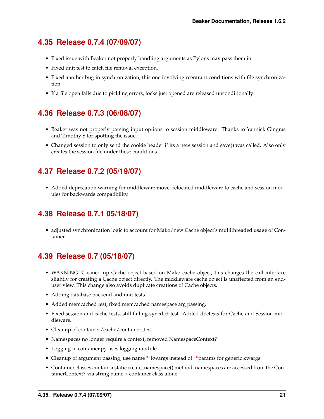### <span id="page-24-0"></span>**4.35 Release 0.7.4 (07/09/07)**

- Fixed issue with Beaker not properly handling arguments as Pylons may pass them in.
- Fixed unit test to catch file removal exception.
- Fixed another bug in synchronization, this one involving reentrant conditions with file synchronization
- If a file open fails due to pickling errors, locks just opened are released unconditionally

## <span id="page-24-1"></span>**4.36 Release 0.7.3 (06/08/07)**

- Beaker was not properly parsing input options to session middleware. Thanks to Yannick Gingras and Timothy S for spotting the issue.
- Changed session to only send the cookie header if its a new session and save() was called. Also only creates the session file under these conditions.

## <span id="page-24-2"></span>**4.37 Release 0.7.2 (05/19/07)**

• Added deprecation warning for middleware move, relocated middleware to cache and session modules for backwards compatibility.

### <span id="page-24-3"></span>**4.38 Release 0.7.1 05/18/07)**

• adjusted synchronization logic to account for Mako/new Cache object's multithreaded usage of Container.

## <span id="page-24-4"></span>**4.39 Release 0.7 (05/18/07)**

- WARNING: Cleaned up Cache object based on Mako cache object, this changes the call interface slightly for creating a Cache object directly. The middleware cache object is unaffected from an enduser view. This change also avoids duplicate creations of Cache objects.
- Adding database backend and unit tests.
- Added memcached test, fixed memcached namespace arg passing.
- Fixed session and cache tests, still failing syncdict test. Added doctests for Cache and Session middleware.
- Cleanup of container/cache/container\_test
- Namespaces no longer require a context, removed NamespaceContext?
- Logging in container.py uses logging module
- Cleanup of argument passing, use name **\*\***kwargs instead of **\*\***params for generic kwargs
- Container classes contain a static create\_namespace() method, namespaces are accessed from the ContainerContext? via string name + container class alone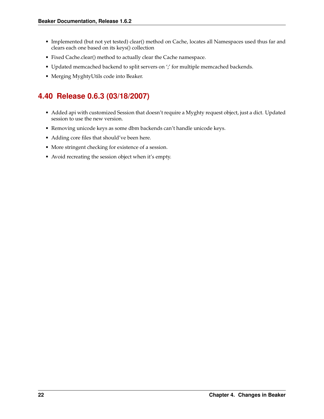- Implemented (but not yet tested) clear() method on Cache, locates all Namespaces used thus far and clears each one based on its keys() collection
- Fixed Cache.clear() method to actually clear the Cache namespace.
- Updated memcached backend to split servers on ';' for multiple memcached backends.
- Merging MyghtyUtils code into Beaker.

## <span id="page-25-0"></span>**4.40 Release 0.6.3 (03/18/2007)**

- Added api with customized Session that doesn't require a Myghty request object, just a dict. Updated session to use the new version.
- Removing unicode keys as some dbm backends can't handle unicode keys.
- Adding core files that should've been here.
- More stringent checking for existence of a session.
- Avoid recreating the session object when it's empty.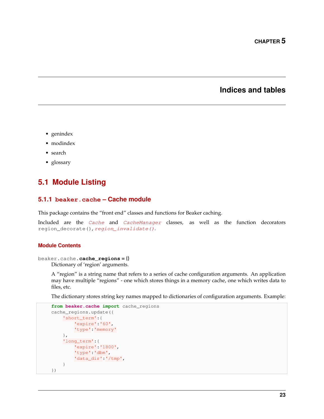### **Indices and tables**

- <span id="page-26-3"></span><span id="page-26-0"></span>• genindex
- modindex
- search
- glossary

### <span id="page-26-1"></span>**5.1 Module Listing**

### **5.1.1 beaker.cache – Cache module**

This package contains the "front end" classes and functions for Beaker caching.

Included are the [Cache](#page-28-0) and [CacheManager](#page-29-0) classes, as well as the function decorators region\_decorate(), [region\\_invalidate\(\)](#page-27-0).

#### **Module Contents**

```
beaker.cache.cache_regions = {}
```
Dictionary of 'region' arguments.

A "region" is a string name that refers to a series of cache configuration arguments. An application may have multiple "regions" - one which stores things in a memory cache, one which writes data to files, etc.

The dictionary stores string key names mapped to dictionaries of configuration arguments. Example:

```
from beaker.cache import cache_regions
cache_regions.update({
    'short_term':{
        'expire':'60',
        'type':'memory'
    },
    'long_term':{
        'expire':'1800',
        'type':'dbm',
        'data_dir':'/tmp',
    }
})
```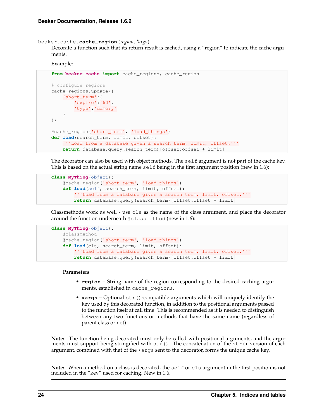<span id="page-27-1"></span>beaker.cache.**cache\_region**(*region*, *\*args*)

Decorate a function such that its return result is cached, using a "region" to indicate the cache arguments.

Example:

```
from beaker.cache import cache_regions, cache_region
# configure regions
cache_regions.update({
    'short_term':{
        'expire':'60',
        'type':'memory'
    }
})
@cache_region('short_term', 'load_things')
def load(search_term, limit, offset):
    '''Load from a database given a search term, limit, offset.'''
    return database.query(search_term)[offset:offset + limit]
```
The decorator can also be used with object methods. The self argument is not part of the cache key. This is based on the actual string name  $\text{self}$  being in the first argument position (new in 1.6):

```
class MyThing(object):
    @cache_region('short_term', 'load_things')
    def load(self, search_term, limit, offset):
        '''Load from a database given a search term, limit, offset.'''
        return database.query(search_term)[offset:offset + limit]
```
Classmethods work as well - use cls as the name of the class argument, and place the decorator around the function underneath @classmethod (new in 1.6):

```
class MyThing(object):
    @classmethod
    @cache_region('short_term', 'load_things')
    def load(cls, search_term, limit, offset):
        '''Load from a database given a search term, limit, offset.'''
        return database.query(search_term)[offset:offset + limit]
```
#### **Parameters**

- **region** String name of the region corresponding to the desired caching arguments, established in cache\_regions.
- $*args Optional str()$ -compatible arguments which will uniquely identify the key used by this decorated function, in addition to the positional arguments passed to the function itself at call time. This is recommended as it is needed to distinguish between any two functions or methods that have the same name (regardless of parent class or not).

**Note:** The function being decorated must only be called with positional arguments, and the arguments must support being stringified with  $str()$ . The concatenation of the str() version of each argument, combined with that of the  $\star$  args sent to the decorator, forms the unique cache key.

<span id="page-27-0"></span>**Note:** When a method on a class is decorated, the self or cls argument in the first position is not included in the "key" used for caching. New in 1.6.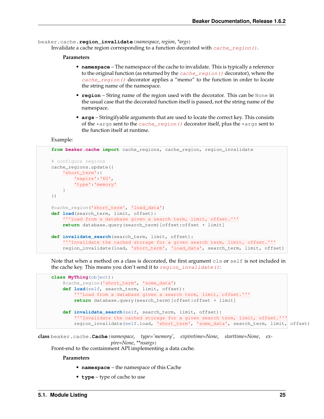<span id="page-28-1"></span>beaker.cache.**region\_invalidate**(*namespace*, *region*, *\*args*)

Invalidate a cache region corresponding to a function decorated with [cache\\_region\(\)](#page-26-2).

#### **Parameters**

- **namespace** The namespace of the cache to invalidate. This is typically a reference to the original function (as returned by the  $cache\_region$ ) decorator), where the [cache\\_region\(\)](#page-26-2) decorator applies a "memo" to the function in order to locate the string name of the namespace.
- **region** String name of the region used with the decorator. This can be None in the usual case that the decorated function itself is passed, not the string name of the namespace.
- **args** Stringifyable arguments that are used to locate the correct key. This consists of the  $\star$  args sent to the *cache\_region* () decorator itself, plus the  $\star$  args sent to the function itself at runtime.

Example:

```
from beaker.cache import cache_regions, cache_region, region_invalidate
# configure regions
cache_regions.update({
   'short_term':{
        'expire':'60',
       'type':'memory'
    }
})
@cache_region('short_term', 'load_data')
def load(search_term, limit, offset):
   '''Load from a database given a search term, limit, offset.'''
   return database.query(search_term)[offset:offset + limit]
def invalidate_search(search_term, limit, offset):
    '''Invalidate the cached storage for a given search term, limit, offset.'''
    region_invalidate(load, 'short_term', 'load_data', search_term, limit, offset)
```
Note that when a method on a class is decorated, the first argument cls or self is not included in the cache key. This means you don't send it to [region\\_invalidate\(\)](#page-27-0):

```
class MyThing(object):
    @cache_region('short_term', 'some_data')
    def load(self, search_term, limit, offset):
        '''Load from a database given a search term, limit, offset.'''
        return database.query(search_term)[offset:offset + limit]
    def invalidate_search(self, search_term, limit, offset):
        '''Invalidate the cached storage for a given search term, limit, offset.'''
        region_invalidate(self.load, 'short_term', 'some_data', search_term, limit, offset)
```
<span id="page-28-0"></span>**class** beaker.cache.**Cache**(*namespace*, *type='memory'*, *expiretime=None*, *starttime=None*, *expire=None*, *\*\*nsargs*)

Front-end to the containment API implementing a data cache.

**Parameters**

- **namespace** the namespace of this Cache
- **type** type of cache to use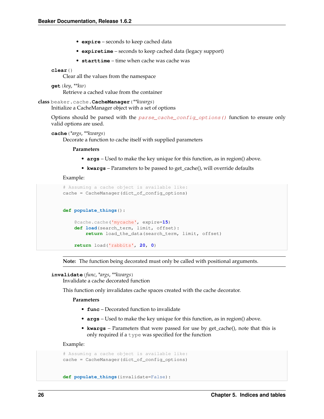- <span id="page-29-4"></span>• **expire** – seconds to keep cached data
- **expiretime** seconds to keep cached data (legacy support)
- **starttime** time when cache was cache was

#### <span id="page-29-2"></span>**clear**()

Clear all the values from the namespace

```
get(key, **kw)
```
Retrieve a cached value from the container

```
class beaker.cache.CacheManager(**kwargs)
     Initialize a CacheManager object with a set of options
```
Options should be parsed with the [parse\\_cache\\_config\\_options\(\)](#page-37-0) function to ensure only valid options are used.

#### <span id="page-29-1"></span>**cache**(*\*args*, *\*\*kwargs*)

Decorate a function to cache itself with supplied parameters

#### **Parameters**

- **args** Used to make the key unique for this function, as in region() above.
- **kwargs** Parameters to be passed to get\_cache(), will override defaults

Example:

```
# Assuming a cache object is available like:
cache = CacheManager(dict of config options)
def populate_things():
    @cache.cache('mycache', expire=15)
   def load(search_term, limit, offset):
       return load_the_data(search_term, limit, offset)
   return load('rabbits', 20, 0)
```
**Note:** The function being decorated must only be called with positional arguments.

### <span id="page-29-3"></span>**invalidate**(*func*, *\*args*, *\*\*kwargs*)

Invalidate a cache decorated function

This function only invalidates cache spaces created with the cache decorator.

**Parameters**

- **func** Decorated function to invalidate
- **args** Used to make the key unique for this function, as in region() above.
- **kwargs** Parameters that were passed for use by get\_cache(), note that this is only required if a  $type$  was specified for the function

Example:

```
# Assuming a cache object is available like:
cache = CacheManager(dict_of_config_options)
```

```
def populate_things(invalidate=False):
```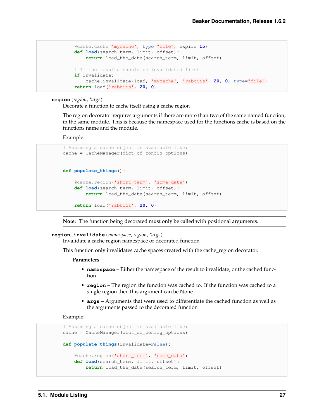```
@cache.cache('mycache', type="file", expire=15)
def load(search_term, limit, offset):
    return load_the_data(search_term, limit, offset)
# If the results should be invalidated first
if invalidate:
    cache.invalidate(load, 'mycache', 'rabbits', 20, 0, type="file")
return load('rabbits', 20, 0)
```
#### <span id="page-30-1"></span>**region**(*region*, *\*args*)

Decorate a function to cache itself using a cache region

The region decorator requires arguments if there are more than two of the same named function, in the same module. This is because the namespace used for the functions cache is based on the functions name and the module.

Example:

```
# Assuming a cache object is available like:
cache = CacheManager(dict_of_config_options)
def populate_things():
   @cache.region('short_term', 'some_data')
   def load(search_term, limit, offset):
       return load_the_data(search_term, limit, offset)
   return load('rabbits', 20, 0)
```
**Note:** The function being decorated must only be called with positional arguments.

#### <span id="page-30-0"></span>**region\_invalidate**(*namespace*, *region*, *\*args*)

Invalidate a cache region namespace or decorated function

This function only invalidates cache spaces created with the cache\_region decorator.

#### **Parameters**

- **namespace** Either the namespace of the result to invalidate, or the cached function
- **region** The region the function was cached to. If the function was cached to a single region then this argument can be None
- **args** Arguments that were used to differentiate the cached function as well as the arguments passed to the decorated function

Example:

```
# Assuming a cache object is available like:
cache = CacheManager(dict_of_config_options)
def populate_things(invalidate=False):
    @cache.region('short_term', 'some_data')
   def load(search_term, limit, offset):
        return load_the_data(search_term, limit, offset)
```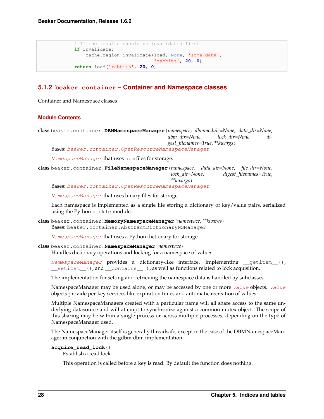```
# If the results should be invalidated first
if invalidate:
   cache.region_invalidate(load, None, 'some_data',
                            'rabbits', 20, 0)
return load('rabbits', 20, 0)
```
### **5.1.2 beaker.container – Container and Namespace classes**

Container and Namespace classes

#### **Module Contents**

**class** beaker.container.**DBMNamespaceManager**(*namespace*, *dbmmodule=None*, *data\_dir=None*, *dbm\_dir=None*, *lock\_dir=None*, *digest\_filenames=True*, *\*\*kwargs*) Bases: [beaker.container.OpenResourceNamespaceManager](#page-32-0)

[NamespaceManager](#page-31-0) that uses dbm files for storage.

**class** beaker.container.**FileNamespaceManager**(*namespace*, *data\_dir=None*, *file\_dir=None*, *lock\_dir=None*, *digest\_filenames=True*, *\*\*kwargs*)

Bases: [beaker.container.OpenResourceNamespaceManager](#page-32-0)

[NamespaceManager](#page-31-0) that uses binary files for storage.

Each namespace is implemented as a single file storing a dictionary of key/value pairs, serialized using the Python pickle module.

**class** beaker.container.**MemoryNamespaceManager**(*namespace*, *\*\*kwargs*) Bases: beaker.container.AbstractDictionaryNSManager

[NamespaceManager](#page-31-0) that uses a Python dictionary for storage.

#### <span id="page-31-0"></span>**class** beaker.container.**NamespaceManager**(*namespace*)

Handles dictionary operations and locking for a namespace of values.

[NamespaceManager](#page-31-0) provides a dictionary-like interface, implementing \_\_getitem\_(), \_\_setitem\_\_(), and \_\_contains\_\_(), as well as functions related to lock acquisition.

The implementation for setting and retrieving the namespace data is handled by subclasses.

NamespaceManager may be used alone, or may be accessed by one or more [Value](#page-32-1) objects. Value objects provide per-key services like expiration times and automatic recreation of values.

Multiple NamespaceManagers created with a particular name will all share access to the same underlying datasource and will attempt to synchronize against a common mutex object. The scope of this sharing may be within a single process or across multiple processes, depending on the type of NamespaceManager used.

The NamespaceManager itself is generally threadsafe, except in the case of the DBMNamespaceManager in conjunction with the gdbm dbm implementation.

```
acquire_read_lock()
```
Establish a read lock.

This operation is called before a key is read. By default the function does nothing.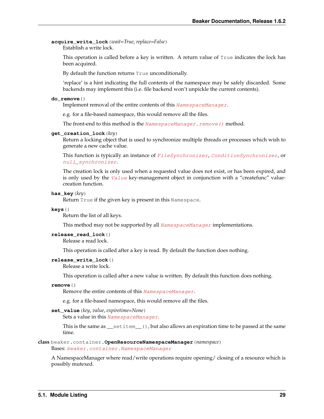<span id="page-32-3"></span>**acquire\_write\_lock**(*wait=True*, *replace=False*) Establish a write lock.

> This operation is called before a key is written. A return value of True indicates the lock has been acquired.

By default the function returns True unconditionally.

'replace' is a hint indicating the full contents of the namespace may be safely discarded. Some backends may implement this (i.e. file backend won't unpickle the current contents).

#### **do\_remove**()

Implement removal of the entire contents of this [NamespaceManager](#page-31-0).

e.g. for a file-based namespace, this would remove all the files.

The front-end to this method is the NamespaceManager. remove () method.

#### **get\_creation\_lock**(*key*)

Return a locking object that is used to synchronize multiple threads or processes which wish to generate a new cache value.

This function is typically an instance of [FileSynchronizer](#page-36-1), [ConditionSynchronizer](#page-36-2), or [null\\_synchronizer](#page-36-3).

The creation lock is only used when a requested value does not exist, or has been expired, and is only used by the [Value](#page-32-1) key-management object in conjunction with a "createfunc" valuecreation function.

#### **has\_key**(*key*)

Return True if the given key is present in this Namespace.

#### **keys**()

Return the list of all keys.

This method may not be supported by all  $NamespaceManager$  implementations.

#### **release\_read\_lock**()

Release a read lock.

This operation is called after a key is read. By default the function does nothing.

#### **release\_write\_lock**()

Release a write lock.

This operation is called after a new value is written. By default this function does nothing.

#### <span id="page-32-2"></span>**remove**()

Remove the entire contents of this [NamespaceManager](#page-31-0).

e.g. for a file-based namespace, this would remove all the files.

#### **set\_value**(*key*, *value*, *expiretime=None*)

Sets a value in this [NamespaceManager](#page-31-0).

This is the same as  ${\sf \_}$ setitem ${\sf \_}$ (), but also allows an expiration time to be passed at the same time.

#### <span id="page-32-0"></span>**class** beaker.container.**OpenResourceNamespaceManager**(*namespace*)

Bases: [beaker.container.NamespaceManager](#page-31-0)

<span id="page-32-1"></span>A NamespaceManager where read/write operations require opening/ closing of a resource which is possibly mutexed.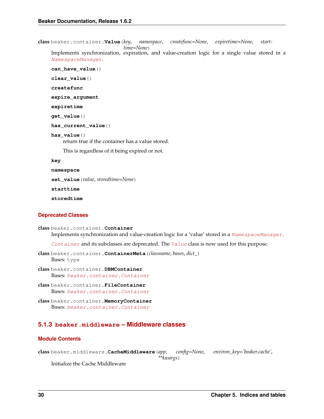<span id="page-33-1"></span>**class** beaker.container.**Value**(*key*, *namespace*, *createfunc=None*, *expiretime=None*, *starttime=None*)

Implements synchronization, expiration, and value-creation logic for a single value stored in a [NamespaceManager](#page-31-0).

**can\_have\_value**()

**clear\_value**()

**createfunc**

**expire\_argument**

**expiretime**

**get\_value**()

**has\_current\_value**()

#### **has\_value**()

return true if the container has a value stored.

This is regardless of it being expired or not.

#### **key**

**namespace**

**set\_value**(*value*, *storedtime=None*)

**starttime**

**storedtime**

#### **Deprecated Classes**

```
class beaker.container.Container
     Implements synchronization and value-creation logic for a 'value' stored in a NamespaceManager.
```
[Container](#page-33-0) and its subclasses are deprecated. The [Value](#page-32-1) class is now used for this purpose.

- **class** beaker.container.**ContainerMeta**(*classname*, *bases*, *dict\_*) Bases: type
- **class** beaker.container.**DBMContainer** Bases: [beaker.container.Container](#page-33-0)
- **class** beaker.container.**FileContainer** Bases: [beaker.container.Container](#page-33-0)

```
class beaker.container.MemoryContainer
    Bases: beaker.container.Container
```
### **5.1.3 beaker.middleware – Middleware classes**

### **Module Contents**

**class** beaker.middleware.**CacheMiddleware**(*app*, *config=None*, *environ\_key='beaker.cache'*, *\*\*kwargs*)

Initialize the Cache Middleware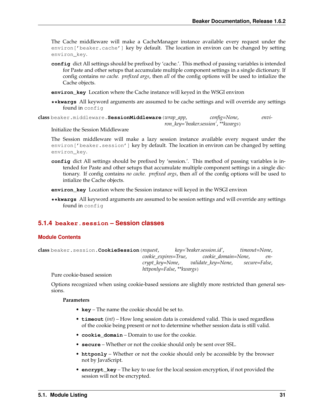<span id="page-34-1"></span>The Cache middleware will make a CacheManager instance available every request under the environ ['beaker.cache'] key by default. The location in environ can be changed by setting environ\_key.

- **config** dict All settings should be prefixed by 'cache.'. This method of passing variables is intended for Paste and other setups that accumulate multiple component settings in a single dictionary. If config contains *no cache. prefixed args*, then *all* of the config options will be used to intialize the Cache objects.
- **environ\_key** Location where the Cache instance will keyed in the WSGI environ
- **\*\*kwargs** All keyword arguments are assumed to be cache settings and will override any settings found in config

<span id="page-34-0"></span>**class** beaker.middleware.**SessionMiddleware**(*wrap\_app*, *config=None*, *environ\_key='beaker.session'*, *\*\*kwargs*)

Initialize the Session Middleware

The Session middleware will make a lazy session instance available every request under the environ['beaker.session'] key by default. The location in environ can be changed by setting environ\_key.

**config** dict All settings should be prefixed by 'session.'. This method of passing variables is intended for Paste and other setups that accumulate multiple component settings in a single dictionary. If config contains *no cache. prefixed args*, then *all* of the config options will be used to intialize the Cache objects.

**environ\_key** Location where the Session instance will keyed in the WSGI environ

**\*\*kwargs** All keyword arguments are assumed to be session settings and will override any settings found in config

### **5.1.4 beaker.session – Session classes**

#### **Module Contents**

**class** beaker.session.**CookieSession**(*request*, *key='beaker.session.id'*, *timeout=None*, *cookie\_expires=True*, *cookie\_domain=None*, *encrypt\_key=None*, *validate\_key=None*, *secure=False*, *httponly=False*, *\*\*kwargs*)

Pure cookie-based session

Options recognized when using cookie-based sessions are slightly more restricted than general sessions.

#### **Parameters**

- **key** The name the cookie should be set to.
- **timeout** (*int*) How long session data is considered valid. This is used regardless of the cookie being present or not to determine whether session data is still valid.
- **cookie\_domain** Domain to use for the cookie.
- **secure** Whether or not the cookie should only be sent over SSL.
- **httponly** Whether or not the cookie should only be accessible by the browser not by JavaScript.
- **encrypt\_key** The key to use for the local session encryption, if not provided the session will not be encrypted.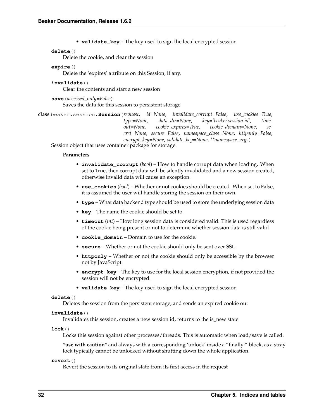• **validate\_key** – The key used to sign the local encrypted session

#### <span id="page-35-3"></span>**delete**()

Delete the cookie, and clear the session

#### **expire**()

Delete the 'expires' attribute on this Session, if any.

#### **invalidate**()

Clear the contents and start a new session

**save**(*accessed\_only=False*) Saves the data for this session to persistent storage

**class** beaker.session.**Session**(*request*, *id=None*, *invalidate\_corrupt=False*, *use\_cookies=True*, *type=None*, *data\_dir=None*, *key='beaker.session.id'*, *timeout=None*, *cookie\_expires=True*, *cookie\_domain=None*, *secret=None*, *secure=False*, *namespace\_class=None*, *httponly=False*, *encrypt\_key=None*, *validate\_key=None*, *\*\*namespace\_args*)

Session object that uses container package for storage.

#### **Parameters**

- **invalidate\_corrupt** (*bool*) How to handle corrupt data when loading. When set to True, then corrupt data will be silently invalidated and a new session created, otherwise invalid data will cause an exception.
- **use\_cookies** (*bool*) Whether or not cookies should be created. When set to False, it is assumed the user will handle storing the session on their own.
- **type** What data backend type should be used to store the underlying session data
- **key** The name the cookie should be set to.
- **timeout** (*int*) How long session data is considered valid. This is used regardless of the cookie being present or not to determine whether session data is still valid.
- **cookie** domain Domain to use for the cookie.
- **secure** Whether or not the cookie should only be sent over SSL.
- **httponly** Whether or not the cookie should only be accessible by the browser not by JavaScript.
- **encrypt\_key** The key to use for the local session encryption, if not provided the session will not be encrypted.
- **validate\_key** The key used to sign the local encrypted session

#### <span id="page-35-1"></span>**delete**()

Deletes the session from the persistent storage, and sends an expired cookie out

### <span id="page-35-2"></span>**invalidate**()

Invalidates this session, creates a new session id, returns to the is\_new state

#### **lock**()

Locks this session against other processes/threads. This is automatic when load/save is called.

**\*use with caution\*** and always with a corresponding 'unlock' inside a "finally:" block, as a stray lock typically cannot be unlocked without shutting down the whole application.

#### <span id="page-35-0"></span>**revert**()

Revert the session to its original state from its first access in the request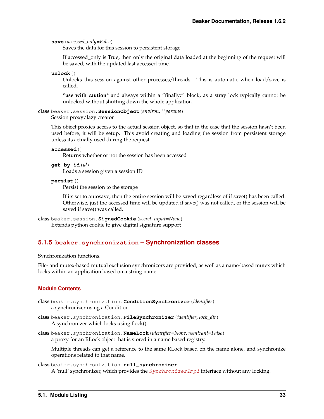<span id="page-36-5"></span>**save**(*accessed\_only=False*)

Saves the data for this session to persistent storage

If accessed\_only is True, then only the original data loaded at the beginning of the request will be saved, with the updated last accessed time.

**unlock**()

Unlocks this session against other processes/threads. This is automatic when load/save is called.

**\*use with caution\*** and always within a "finally:" block, as a stray lock typically cannot be unlocked without shutting down the whole application.

**class** beaker.session.**SessionObject**(*environ*, *\*\*params*)

Session proxy/lazy creator

This object proxies access to the actual session object, so that in the case that the session hasn't been used before, it will be setup. This avoid creating and loading the session from persistent storage unless its actually used during the request.

**accessed**()

Returns whether or not the session has been accessed

**get\_by\_id**(*id*) Loads a session given a session ID

#### <span id="page-36-0"></span>**persist**()

Persist the session to the storage

If its set to autosave, then the entire session will be saved regardless of if save() has been called. Otherwise, just the accessed time will be updated if save() was not called, or the session will be saved if save() was called.

```
class beaker.session.SignedCookie(secret, input=None)
     Extends python cookie to give digital signature support
```
### **5.1.5 beaker.synchronization – Synchronization classes**

Synchronization functions.

File- and mutex-based mutual exclusion synchronizers are provided, as well as a name-based mutex which locks within an application based on a string name.

#### **Module Contents**

```
class beaker.synchronization.ConditionSynchronizer(identifier)
    a synchronizer using a Condition.
```
- <span id="page-36-1"></span>**class** beaker.synchronization.**FileSynchronizer**(*identifier*, *lock\_dir*) A synchronizer which locks using flock().
- **class** beaker.synchronization.**NameLock**(*identifier=None*, *reentrant=False*) a proxy for an RLock object that is stored in a name based registry.

Multiple threads can get a reference to the same RLock based on the name alone, and synchronize operations related to that name.

```
class beaker.synchronization.null_synchronizer
    A 'null' synchronizer, which provides the SynchronizerImpl interface without any locking.
```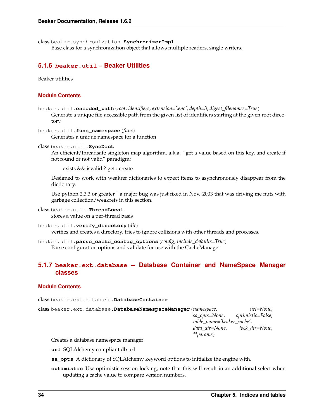<span id="page-37-1"></span>**class** beaker.synchronization.**SynchronizerImpl**

Base class for a synchronization object that allows multiple readers, single writers.

### **5.1.6 beaker.util – Beaker Utilities**

Beaker utilities

#### **Module Contents**

beaker.util.**encoded\_path**(*root*, *identifiers*, *extension='.enc'*, *depth=3*, *digest\_filenames=True*) Generate a unique file-accessible path from the given list of identifiers starting at the given root directory.

beaker.util.**func\_namespace**(*func*) Generates a unique namespace for a function

#### **class** beaker.util.**SyncDict**

An efficient/threadsafe singleton map algorithm, a.k.a. "get a value based on this key, and create if not found or not valid" paradigm:

exists && isvalid ? get : create

Designed to work with weakref dictionaries to expect items to asynchronously disappear from the dictionary.

Use python 2.3.3 or greater ! a major bug was just fixed in Nov. 2003 that was driving me nuts with garbage collection/weakrefs in this section.

#### **class** beaker.util.**ThreadLocal**

stores a value on a per-thread basis

```
beaker.util.verify_directory(dir)
```
verifies and creates a directory. tries to ignore collisions with other threads and processes.

<span id="page-37-0"></span>beaker.util.**parse\_cache\_config\_options**(*config*, *include\_defaults=True*) Parse configuration options and validate for use with the CacheManager

### **5.1.7 beaker.ext.database – Database Container and NameSpace Manager classes**

#### **Module Contents**

**class** beaker.ext.database.**DatabaseContainer**

```
class beaker.ext.database.DatabaseNamespaceManager(namespace, url=None,
                                                       sa_opts=None, optimistic=False,
                                                       table_name='beaker_cache',
                                                       data_dir=None, lock_dir=None,
                                                       **params)
```
Creates a database namespace manager

**url** SQLAlchemy compliant db url

- **sa\_opts** A dictionary of SQLAlchemy keyword options to initialize the engine with.
- **optimistic** Use optimistic session locking, note that this will result in an additional select when updating a cache value to compare version numbers.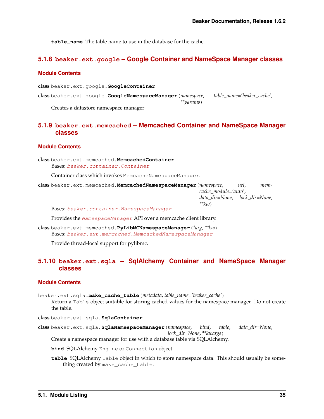<span id="page-38-1"></span>**table name** The table name to use in the database for the cache.

### **5.1.8 beaker.ext.google – Google Container and NameSpace Manager classes**

### **Module Contents**

**class** beaker.ext.google.**GoogleContainer class** beaker.ext.google.**GoogleNamespaceManager**(*namespace*, *table\_name='beaker\_cache'*, *\*\*params*) Creates a datastore namespace manager

### **5.1.9 beaker.ext.memcached – Memcached Container and NameSpace Manager classes**

#### **Module Contents**

**class** beaker.ext.memcached.**MemcachedContainer** Bases: [beaker.container.Container](#page-33-0)

Container class which invokes MemcacheNamespaceManager.

<span id="page-38-0"></span>**class** beaker.ext.memcached.**MemcachedNamespaceManager**(*namespace*, *url*, *memcache\_module='auto'*, *data\_dir=None*, *lock\_dir=None*, *\*\*kw*)

Bases: [beaker.container.NamespaceManager](#page-31-0)

Provides the [NamespaceManager](#page-31-0) API over a memcache client library.

**class** beaker.ext.memcached.**PyLibMCNamespaceManager**(*\*arg*, *\*\*kw*) Bases: [beaker.ext.memcached.MemcachedNamespaceManager](#page-38-0)

Provide thread-local support for pylibmc.

### **5.1.10 beaker.ext.sqla – SqlAlchemy Container and NameSpace Manager classes**

#### **Module Contents**

beaker.ext.sqla.**make\_cache\_table**(*metadata*, *table\_name='beaker\_cache'*) Return a Table object suitable for storing cached values for the namespace manager. Do not create the table.

**class** beaker.ext.sqla.**SqlaContainer**

**class** beaker.ext.sqla.**SqlaNamespaceManager**(*namespace*, *bind*, *table*, *data\_dir=None*, *lock\_dir=None*, *\*\*kwargs*)

Create a namespace manager for use with a database table via SQLAlchemy.

**bind** SQLAlchemy Engine or Connection object

**table** SQLAlchemy Table object in which to store namespace data. This should usually be something created by make\_cache\_table.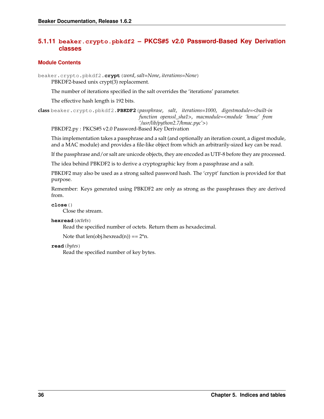### <span id="page-39-0"></span>**5.1.11 beaker.crypto.pbkdf2 – PKCS#5 v2.0 Password-Based Key Derivation classes**

### **Module Contents**

beaker.crypto.pbkdf2.**crypt**(*word*, *salt=None*, *iterations=None*)

PBKDF2-based unix crypt(3) replacement.

The number of iterations specified in the salt overrides the 'iterations' parameter.

The effective hash length is 192 bits.

**class** beaker.crypto.pbkdf2.**PBKDF2**(*passphrase*, *salt*, *iterations=1000*, *digestmodule=<built-in function openssl\_sha1>*, *macmodule=<module 'hmac' from '/usr/lib/python2.7/hmac.pyc'>*)

PBKDF2.py : PKCS#5 v2.0 Password-Based Key Derivation

This implementation takes a passphrase and a salt (and optionally an iteration count, a digest module, and a MAC module) and provides a file-like object from which an arbitrarily-sized key can be read.

If the passphrase and/or salt are unicode objects, they are encoded as UTF-8 before they are processed.

The idea behind PBKDF2 is to derive a cryptographic key from a passphrase and a salt.

PBKDF2 may also be used as a strong salted password hash. The 'crypt' function is provided for that purpose.

Remember: Keys generated using PBKDF2 are only as strong as the passphrases they are derived from.

```
close()
```
Close the stream.

**hexread**(*octets*)

Read the specified number of octets. Return them as hexadecimal.

Note that  $len(obj.hexread(n)) == 2*n$ .

**read**(*bytes*)

Read the specified number of key bytes.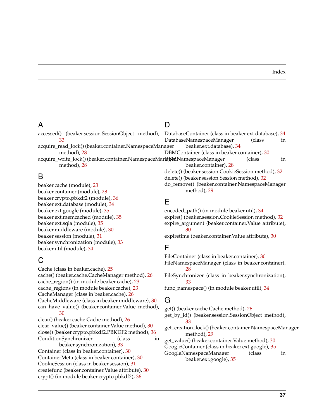### A

accessed() (beaker.session.SessionObject method), [33](#page-36-5) acquire\_read\_lock() (beaker.container.NamespaceManager

method), [28](#page-31-1)

method), [28](#page-31-1)

B

beaker.cache (module), [23](#page-26-3) beaker.container (module), [28](#page-31-1) beaker.crypto.pbkdf2 (module), [36](#page-39-0) beaker.ext.database (module), [34](#page-37-1) beaker.ext.google (module), [35](#page-38-1) beaker.ext.memcached (module), [35](#page-38-1) beaker.ext.sqla (module), [35](#page-38-1) beaker.middleware (module), [30](#page-33-1) beaker.session (module), [31](#page-34-1) beaker.synchronization (module), [33](#page-36-5) beaker.util (module), [34](#page-37-1)

## C

Cache (class in beaker.cache), [25](#page-28-1) cache() (beaker.cache.CacheManager method), [26](#page-29-4) cache\_region() (in module beaker.cache), [23](#page-26-3) cache\_regions (in module beaker.cache), [23](#page-26-3) CacheManager (class in beaker.cache), [26](#page-29-4) CacheMiddleware (class in beaker.middleware), [30](#page-33-1) can\_have\_value() (beaker.container.Value method), [30](#page-33-1) clear() (beaker.cache.Cache method), [26](#page-29-4) clear\_value() (beaker.container.Value method), [30](#page-33-1) close() (beaker.crypto.pbkdf2.PBKDF2 method), [36](#page-39-0) ConditionSynchronizer (class in beaker.synchronization), [33](#page-36-5) Container (class in beaker.container), [30](#page-33-1) ContainerMeta (class in beaker.container), [30](#page-33-1) CookieSession (class in beaker.session), [31](#page-34-1) createfunc (beaker.container.Value attribute), [30](#page-33-1) crypt() (in module beaker.crypto.pbkdf2), [36](#page-39-0)

### D

acquire\_write\_lock() (beaker.container.NamespaceMarl**ag&n**NamespaceManager (class in DatabaseNamespaceManager (class in beaker.ext.database), [34](#page-37-1) DBMContainer (class in beaker.container), [30](#page-33-1) beaker.container), [28](#page-31-1) delete() (beaker.session.CookieSession method), [32](#page-35-3) delete() (beaker.session.Session method), [32](#page-35-3) do\_remove() (beaker.container.NamespaceManager method), [29](#page-32-3)

DatabaseContainer (class in beaker.ext.database), [34](#page-37-1)

### E

encoded path() (in module beaker.util), [34](#page-37-1) expire() (beaker.session.CookieSession method), [32](#page-35-3) expire\_argument (beaker.container.Value attribute), [30](#page-33-1) expiretime (beaker.container.Value attribute), [30](#page-33-1)

## F

FileContainer (class in beaker.container), [30](#page-33-1) FileNamespaceManager (class in beaker.container), [28](#page-31-1) FileSynchronizer (class in beaker.synchronization), [33](#page-36-5) func\_namespace() (in module beaker.util), [34](#page-37-1)

## G

get() (beaker.cache.Cache method), [26](#page-29-4) get\_by\_id() (beaker.session.SessionObject method), [33](#page-36-5) get\_creation\_lock() (beaker.container.NamespaceManager method), [29](#page-32-3) get\_value() (beaker.container.Value method), [30](#page-33-1) GoogleContainer (class in beaker.ext.google), [35](#page-38-1) GoogleNamespaceManager (class in beaker.ext.google), [35](#page-38-1)